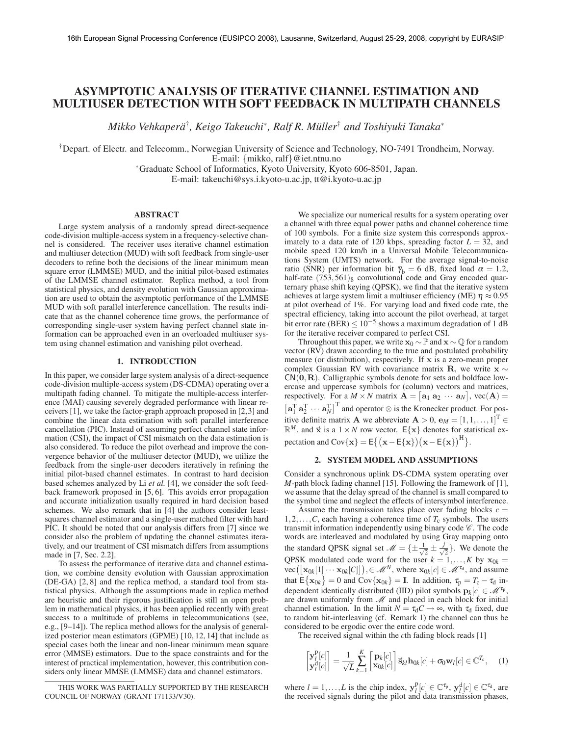# ASYMPTOTIC ANALYSIS OF ITERATIVE CHANNEL ESTIMATION AND MULTIUSER DETECTION WITH SOFT FEEDBACK IN MULTIPATH CHANNELS

*Mikko Vehkapera¨* † *, Keigo Takeuchi*<sup>∗</sup> *, Ralf R. Muller ¨* † *and Toshiyuki Tanaka*<sup>∗</sup>

†Depart. of Electr. and Telecomm., Norwegian University of Science and Technology, NO-7491 Trondheim, Norway. E-mail: {mikko, ralf}@iet.ntnu.no

∗Graduate School of Informatics, Kyoto University, Kyoto 606-8501, Japan.

E-mail: takeuchi@sys.i.kyoto-u.ac.jp, tt@i.kyoto-u.ac.jp

### ABSTRACT

Large system analysis of a randomly spread direct-sequence code-division multiple-access system in a frequency-selective channel is considered. The receiver uses iterative channel estimation and multiuser detection (MUD) with soft feedback from single-user decoders to refine both the decisions of the linear minimum mean square error (LMMSE) MUD, and the initial pilot-based estimates of the LMMSE channel estimator. Replica method, a tool from statistical physics, and density evolution with Gaussian approximation are used to obtain the asymptotic performance of the LMMSE MUD with soft parallel interference cancellation. The results indicate that as the channel coherence time grows, the performance of corresponding single-user system having perfect channel state information can be approached even in an overloaded multiuser system using channel estimation and vanishing pilot overhead.

### 1. INTRODUCTION

In this paper, we consider large system analysis of a direct-sequence code-division multiple-access system (DS-CDMA) operating over a multipath fading channel. To mitigate the multiple-access interference (MAI) causing severely degraded performance with linear receivers [1], we take the factor-graph approach proposed in [2,3] and combine the linear data estimation with soft parallel interference cancellation (PIC). Instead of assuming perfect channel state information (CSI), the impact of CSI mismatch on the data estimation is also considered. To reduce the pilot overhead and improve the convergence behavior of the multiuser detector (MUD), we utilize the feedback from the single-user decoders iteratively in refining the initial pilot-based channel estimates. In contrast to hard decision based schemes analyzed by Li *et al.* [4], we consider the soft feedback framework proposed in [5, 6]. This avoids error propagation and accurate initialization usually required in hard decision based schemes. We also remark that in [4] the authors consider leastsquares channel estimator and a single-user matched filter with hard PIC. It should be noted that our analysis differs from [7] since we consider also the problem of updating the channel estimates iteratively, and our treatment of CSI mismatch differs from assumptions made in [7, Sec. 2.2].

To assess the performance of iterative data and channel estimation, we combine density evolution with Gaussian approximation (DE-GA) [2, 8] and the replica method, a standard tool from statistical physics. Although the assumptions made in replica method are heuristic and their rigorous justification is still an open problem in mathematical physics, it has been applied recently with great success to a multitude of problems in telecommunications (see, e.g., [9–14]). The replica method allows for the analysis of generalized posterior mean estimators (GPME) [10, 12, 14] that include as special cases both the linear and non-linear minimum mean square error (MMSE) estimators. Due to the space constraints and for the interest of practical implementation, however, this contribution considers only linear MMSE (LMMSE) data and channel estimators.

We specialize our numerical results for a system operating over a channel with three equal power paths and channel coherence time of 100 symbols. For a finite size system this corresponds approximately to a data rate of 120 kbps, spreading factor  $L = 32$ , and mobile speed 120 km/h in a Universal Mobile Telecommunications System (UMTS) network. For the average signal-to-noise ratio (SNR) per information bit  $\bar{\gamma}_b = 6$  dB, fixed load  $\alpha = 1.2$ , half-rate  $(753,561)$ <sub>8</sub> convolutional code and Gray encoded quarternary phase shift keying (QPSK), we find that the iterative system achieves at large system limit a multiuser efficiency (ME)  $\eta \approx 0.95$ at pilot overhead of 1%. For varying load and fixed code rate, the spectral efficiency, taking into account the pilot overhead, at target bit error rate (BER)  $\leq 10^{-5}$  shows a maximum degradation of 1 dB for the iterative receiver compared to perfect CSI.

Throughout this paper, we write  $\mathbf{x}_0 \sim \mathbb{P}$  and  $\mathbf{x} \sim \mathbb{Q}$  for a random vector (RV) drawn according to the true and postulated probability measure (or distribution), respectively. If  $x$  is a zero-mean proper complex Gaussian RV with covariance matrix R, we write  $x \sim$  $CN(0,R)$ . Calligraphic symbols denote for sets and boldface lowercase and uppercase symbols for (column) vectors and matrices, respectively. For a  $M \times N$  matrix  $\mathbf{A} = [\mathbf{a}_1 \ \mathbf{a}_2 \ \cdots \ \mathbf{a}_N]$ ,  $\text{vec}(\mathbf{A}) =$  $\left[\mathbf{a}_1^T \ \mathbf{a}_2^T \ \cdots \ \mathbf{a}_N^T \right]^T$  and operator  $\otimes$  is the Kronecker product. For positive definite matrix **A** we abbreviate  $\mathbf{A} > 0$ ,  $\mathbf{e}_M = [1, 1, \dots, 1]^T \in \mathcal{A}$  $\mathbb{R}^M$ , and  $\vec{x}$  is a  $1 \times N$  row vector.  $E\{x\}$  denotes for statistical expectation and  $Cov{x} = E({\mathbf{x} - E{\mathbf{x}}})({\mathbf{x} - E{\mathbf{x}}})^H$ .

# 2. SYSTEM MODEL AND ASSUMPTIONS

Consider a synchronous uplink DS-CDMA system operating over *M*-path block fading channel [15]. Following the framework of [1], we assume that the delay spread of the channel is small compared to the symbol time and neglect the effects of intersymbol interference.

Assume the transmission takes place over fading blocks  $c =$  $1, 2, \ldots, C$ , each having a coherence time of  $T_c$  symbols. The users transmit information independently using binary code  $\mathscr{C}$ . The code words are interleaved and modulated by using Gray mapping onto the standard QPSK signal set  $\mathcal{M} = \{\pm \frac{1}{\sqrt{2}}\}$  $\frac{j}{2} \pm \frac{j}{\sqrt{2}}$ . We denote the QPSK modulated code word for the user  $k = 1, ..., K$  by  $x_{0k} =$  $\text{vec}([\mathbf{x}_{0k}[1] \cdots \mathbf{x}_{0k}[C]]), \in \mathcal{M}^N$ , where  $\mathbf{x}_{0k}[c] \in \mathcal{M}^{\tau_d}$ , and assume that  $E\{\mathbf{x}_{0k}\}=0$  and  $Cov\{\mathbf{x}_{0k}\} = \mathbf{I}$ . In addition,  $\tau_p = T_c - \tau_d$  independent identically distributed (IID) pilot symbols  $\mathbf{p}_k[c] \in \mathcal{M}^{\tau_p}$ , are drawn uniformly from  $M$  and placed in each block for initial channel estimation. In the limit  $N = \tau_d C \rightarrow \infty$ , with  $\tau_d$  fixed, due to random bit-interleaving (cf. Remark 1) the channel can thus be considered to be ergodic over the entire code word.

The received signal within the *c*th fading block reads [1]

$$
\begin{bmatrix} \mathbf{y}_l^{\mathrm{P}}[c] \\ \mathbf{y}_l^{\mathrm{d}}[c] \end{bmatrix} = \frac{1}{\sqrt{L}} \sum_{k=1}^K \begin{bmatrix} \mathbf{p}_k[c] \\ \mathbf{x}_{0k}[c] \end{bmatrix} \vec{\mathbf{s}}_{kl} \mathbf{h}_{0k}[c] + \sigma_0 \mathbf{w}_l[c] \in \mathbb{C}^{T_c}, \quad (1)
$$

where  $l = 1, ..., L$  is the chip index,  $\mathbf{y}_l^{\text{p}}[c] \in \mathbb{C}^{\tau_{\text{p}}}, \mathbf{y}_l^{\text{d}}[c] \in \mathbb{C}^{\tau_{\text{d}}}$ , are the received signals during the pilot and data transmission phases,

THIS WORK WAS PARTIALLY SUPPORTED BY THE RESEARCH COUNCIL OF NORWAY (GRANT 171133/V30).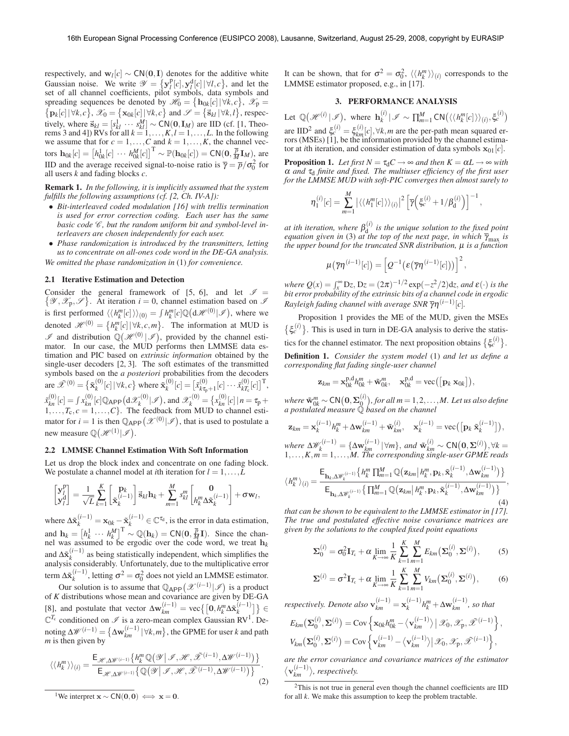respectively, and  $w_l[c] \sim CN(0, I)$  denotes for the additive white Gaussian noise. We write  $\mathscr{Y} = \{ \mathbf{y}_l^{\text{p}}[c], \mathbf{y}_l^{\text{d}}[c] | \forall l, c \}$ , and let the set of all channel coefficients, pilot symbols, data symbols and spreading sequences be denoted by  $\mathscr{H}_0 = \{ \mathbf{h}_{0k}[c] | \forall k, c \}, \ \mathscr{X}_p =$  $\{ \mathbf{p}_k[c] | \forall k, c \}, \mathcal{X}_0 = \{ \mathbf{x}_{0k}[c] | \forall k, c \}$  and  $\mathcal{S} = \{ \vec{\mathbf{s}}_{kl} | \forall k, l \},$  respectively, where  $\vec{s}_{kl} = [s_{kl}^1 \cdots s_{kl}^M] \sim \text{CN}(\mathbf{0}, \mathbf{I}_M)$  are IID (cf. [1, Theo-<br>rems 3 and 4]) RVs for all  $k = 1, ..., K, l = 1, ..., L$ . In the following we assume that for  $c = 1, \ldots, C$  and  $k = 1, \ldots, K$ , the channel vec- $\mathbf{h}_{0k}[c] = [h_{0k}^1[c] \cdots h_{0k}^M[c]]^T \sim \mathbb{P}(\mathbf{h}_{0k}[c]) = \mathsf{CN}(\mathbf{0}, \frac{\overline{p}}{M} \mathbf{I}_M)$ , are IID and the average received signal-to-noise ratio is  $\overline{\gamma} = \overline{p}/\sigma_0^2$  for all users *k* and fading blocks *c*.

Remark 1. *In the following, it is implicitly assumed that the system fulfills the following assumptions (cf. [2, Ch. IV-A]):*

- *Bit-interleaved coded modulation [16] with trellis termination is used for error correction coding. Each user has the same basic code*  $\mathcal{C}$ *, but the random uniform bit and symbol-level interleavers are chosen independently for each user.*
- *Phase randomization is introduced by the transmitters, letting us to concentrate on all-ones code word in the DE-GA analysis. We omitted the phase randomization in* (1) *for convenience.*

#### 2.1 Iterative Estimation and Detection

Consider the general framework of [5, 6], and let  $\mathscr{I} =$  $\{\mathscr{Y}, \mathscr{X}_{p}, \mathscr{S}\}\.$  At iteration  $i = 0$ , channel estimation based on  $\mathscr{S}$ is first performed  $\langle\langle h_k^m[c]\rangle\rangle_{(0)} = \int h_k^m[c] \mathbb{Q}\big(\mathrm{d}\mathscr{H}^{(0)}|\mathscr{I}\big),$  where we denoted  $\mathscr{H}^{(0)} = \{h_k^m[c] | \forall k, c, m\}$ . The information at MUD is  $\mathscr I$  and distribution  $\mathbb Q(\mathscr H^{(0)}|\mathscr I)$ , provided by the channel estimator. In our case, the MUD performs then LMMSE data estimation and PIC based on *extrinsic information* obtained by the single-user decoders [2, 3]. The soft estimates of the transmitted symbols based on the *a posteriori* probabilities from the decoders are  $\tilde{\mathcal{X}}^{(0)} = \{ \tilde{\mathbf{x}}_k^{(0)}[c] | \forall k, c \}$  where  $\tilde{\mathbf{x}}_k^{(0)}[c] = [\tilde{x}_{k\tau_p+1}^{(0)}[c] \cdots \tilde{x}_{k\tau_c}^{(0)}[c]]^{\mathrm{T}},$  $\tilde{x}_{kn}^{(0)}[c] = \int x_{kn}^{(0)}[c] \mathbb{Q}_{\text{APP}}\left(\mathrm{d}\mathcal{X}_k^{(0)}|\mathcal{I}\right)$ , and  $\mathcal{X}_k^{(0)} = \{x_{kn}^{(0)}[c] | n = \tau_{\text{P}} + \tau_{\text{P}}$  $1, \ldots, T_c, c = 1, \ldots, C$ . The feedback from MUD to channel estimator for  $i = 1$  is then  $\mathbb{Q}_{\mathsf{APP}}\big(\mathscr{X}^{(0)}|\mathscr{I}\big)$ , that is used to postulate a new measure  $\mathbb{Q}(\mathcal{H}^{(1)}|\mathcal{I}).$ 

### 2.2 LMMSE Channel Estimation With Soft Information

Let us drop the block index and concentrate on one fading block. We postulate a channel model at *i*th iteration for  $l = 1, \ldots, L$ 

$$
\begin{bmatrix} \mathbf{y}_l^{\text{p}} \\ \mathbf{y}_l^{\text{d}} \end{bmatrix} = \frac{1}{\sqrt{L}} \sum_{k=1}^K \begin{bmatrix} \mathbf{p}_k \\ \tilde{\mathbf{x}}_k^{(i-1)} \end{bmatrix} \vec{\mathbf{s}}_{kl} \mathbf{h}_k + \sum_{m=1}^M s_{kl}^m \begin{bmatrix} \mathbf{0} \\ h_k^m \Delta \tilde{\mathbf{x}}_k^{(i-1)} \end{bmatrix} + \sigma \mathbf{w}_l,
$$

where  $\Delta \tilde{\mathbf{x}}_k^{(i-1)} = \mathbf{x}_{0k} - \tilde{\mathbf{x}}_k^{(i-1)} \in \mathbb{C}^{\tau_d}$ , is the error in data estimation, and  $\mathbf{h}_k = \begin{bmatrix} h_k^1 & \cdots & h_k^M \end{bmatrix}^\text{T} \sim \mathbb{Q}(\mathbf{h}_k) = \text{CN}(\mathbf{0}, \frac{\overline{p}}{M}\mathbf{I})$ . Since the channel was assumed to be ergodic over the code word, we treat h*<sup>k</sup>* and  $\Delta \tilde{\mathbf{x}}_k^{(i-1)}$  as being statistically independent, which simplifies the analysis considerably. Unfortunately, due to the multiplicative error term  $\Delta \tilde{\mathbf{x}}_k^{(i-1)}$ , letting  $\sigma^2 = \sigma_0^2$  does not yield an LMMSE estimator.

Our solution is to assume that  $\mathbb{Q}_{\mathsf{APP}}(\mathscr{X}^{(i-1)}|\mathscr{I})$  is a product of *K* distributions whose mean and covariance are given by DE-GA [8], and postulate that vector  $\Delta \mathbf{w}_{km}^{(i-1)} = \text{vec}\left\{ \left[ \mathbf{0}, h_k^m \Delta \tilde{\mathbf{x}}_k^{(i-1)} \right] \right\}$  ∈  $\mathbb{C}^{T_c}$  conditioned on  $\mathscr{I}$  is a zero-mean complex Gaussian RV<sup>1</sup>. Denoting  $\Delta W^{(i-1)} = \{ \Delta \mathbf{w}_{km}^{(i-1)} \, | \, \forall k,m \}$ , the GPME for user *k* and path *m* is then given by

$$
\langle \langle h_k^m \rangle \rangle_{(i)} = \frac{\mathsf{E}_{\mathcal{H}, \Delta \mathcal{W}^{(i-1)}} \{ h_k^m \mathbb{Q}(\mathcal{Y} \mid \mathcal{F}, \mathcal{H}, \tilde{\mathcal{X}}^{(i-1)}, \Delta \mathcal{W}^{(i-1)}) \}}{\mathsf{E}_{\mathcal{H}, \Delta \mathcal{W}^{(i-1)}} \{ \mathbb{Q}(\mathcal{Y} \mid \mathcal{F}, \mathcal{H}, \tilde{\mathcal{X}}^{(i-1)}, \Delta \mathcal{W}^{(i-1)}) \}}.
$$
\n(2)

It can be shown, that for  $\sigma^2 = \sigma_0^2$ ,  $\langle \langle h_k^m \rangle \rangle_{(i)}$  corresponds to the LMMSE estimator proposed, e.g., in [17].

## 3. PERFORMANCE ANALYSIS

Let  $\mathbb{Q}(\mathcal{H}^{(i)} | \mathcal{I})$ , where  $\mathbf{h}_k^{(i)} | \mathcal{I} \sim \prod_{m=1}^M \text{CN}(\langle \langle h_k^m[c] \rangle \rangle_{(i)}, \xi_c^{(i)})$ are IID<sup>2</sup> and  $\xi_c^{(i)} = \xi_{km}^{(i)}[c], \forall k, m$  are the per-path mean squared errors (MSEs) [1], be the information provided by the channel estimator at *i*th iteration, and consider estimation of data symbols  $\mathbf{x}_{01}[c]$ .

**Proposition 1.** *Let first*  $N = \tau_d C \rightarrow \infty$  *and then*  $K = \alpha L \rightarrow \infty$  *with*  $\alpha$  *and*  $\tau_d$  *finite and fixed. The multiuser efficiency of the first user for the LMMSE MUD with soft-PIC converges then almost surely to*

$$
\eta_1^{(i)}[c] = \sum_{m=1}^M \left| \langle \langle h_1^m[c] \rangle \rangle_{(i)} \right|^2 \left[ \overline{\gamma} \Big( \xi_c^{(i)} + 1/\beta_d^{(i)} \Big) \right]^{-1},
$$

*at ith iteration, where*  $\beta_d^{(i)}$  *is the unique solution to the fixed point equation given in* (3) *at the top of the next page, in which*  $\bar{\gamma}_{\text{max}}$  *is the upper bound for the truncated SNR distribution,* µ *is a function*

$$
\mu(\overline{\gamma}\eta^{(i-1)}[c]) = \left[Q^{-1}(\varepsilon(\overline{\gamma}\eta^{(i-1)}[c]))\right]^2
$$

,

*where*  $Q(x) = \int_{x}^{\infty} Dz$ ,  $Dz = (2\pi)^{-1/2} \exp(-z^2/2) dz$ , *and*  $\varepsilon(\cdot)$  *is the bit error probability of the extrinsic bits of a channel code in ergodic Rayleigh fading channel with average SNR*  $\overline{\gamma} \eta^{(i-1)}[c]$ *.* 

Proposition 1 provides the ME of the MUD, given the MSEs  $\{\xi_c^{(i)}\}\.$  This is used in turn in DE-GA analysis to derive the statistics for the channel estimator. The next proposition obtains  $\{\xi_c^{(i)}\}.$ Definition 1. *Consider the system model* (1) *and let us define a*

*corresponding flat fading single-user channel*

$$
\mathbf{z}_{km} = \mathbf{x}_{0k}^{\mathrm{p},\mathrm{d}} h_{0k}^m + \tilde{\mathbf{w}}_{0k}^m, \quad \mathbf{x}_{0k}^{\mathrm{p},\mathrm{d}} = \mathrm{vec}\big(\big[\mathbf{p}_k \,\mathbf{x}_{0k}\big]\big),
$$

where  $\tilde{\mathbf{w}}_{0k}^m \sim \textsf{CN}\big(\mathbf{0},\boldsymbol{\Sigma}_{\text{Q}}^{(i)}\big)$ , for all  $m\!=\!1,2,...,M.$  Let us also define *a postulated measure* Q *based on the channel*

$$
\mathbf{z}_{km} = \mathbf{x}_k^{(i-1)} h_k^m + \Delta \mathbf{w}_{km}^{(i-1)} + \tilde{\mathbf{w}}_{km}^{(i)}, \quad \mathbf{x}_k^{(i-1)} = \text{vec}\left(\left[\mathbf{p}_k \ \tilde{\mathbf{x}}_k^{(i-1)}\right]\right),
$$

where  $\Delta \mathscr{W}_k^{(i-1)} = {\Delta \mathbf{w}_{km}^{(i-1)}} |\forall m\}$ , and  $\tilde{\mathbf{w}}_{km}^{(i)} \sim \textsf{CN}(\mathbf{0}, \mathbf{\Sigma}^{(i)}), \forall k = 1, \dots, K, m = 1, \dots, M$ . The corresponding single-user GPME reads

$$
\langle h_k^m \rangle_{(i)} = \frac{\mathsf{E}_{\mathbf{h}_k, \Delta \mathscr{W}_k^{(i-1)}} \{ h_k^m \prod_{m=1}^M \mathbb{Q}(\mathbf{z}_{km} | h_k^m, \mathbf{p}_k, \tilde{\mathbf{x}}_k^{(i-1)}, \Delta \mathbf{w}_{km}^{(i-1)}) \}}{\mathsf{E}_{\mathbf{h}_k, \Delta \mathscr{W}_k^{(i-1)}} \{ \prod_{m=1}^M \mathbb{Q}(\mathbf{z}_{km} | h_k^m, \mathbf{p}_k, \tilde{\mathbf{x}}_k^{(i-1)}, \Delta \mathbf{w}_{km}^{(i-1)}) \}},
$$
\n(4)

*that can be shown to be equivalent to the LMMSE estimator in [17]. The true and postulated effective noise covariance matrices are given by the solutions to the coupled fixed point equations*

$$
\Sigma_0^{(i)} = \sigma_0^2 \mathbf{I}_{T_c} + \alpha \lim_{K \to \infty} \frac{1}{K} \sum_{k=1}^K \sum_{m=1}^M E_{km} (\Sigma_0^{(i)}, \Sigma^{(i)}), \quad (5)
$$

$$
\Sigma^{(i)} = \sigma^2 \mathbf{I}_{T_c} + \alpha \lim_{K \to \infty} \frac{1}{K} \sum_{k=1}^K \sum_{m=1}^M V_{km} \big(\Sigma_0^{(i)}, \Sigma^{(i)}\big),\tag{6}
$$

*respectively. Denote also*  $\mathbf{v}_{km}^{(i-1)} = \mathbf{x}_k^{(i-1)} h_k^m + \Delta \mathbf{w}_{km}^{(i-1)}$ , so that

$$
E_{km}(\mathbf{\Sigma}_0^{(i)},\mathbf{\Sigma}^{(i)}) = \text{Cov}\left\{\mathbf{x}_{0k}h_{0k}^m - \langle\mathbf{v}_{km}^{(i-1)}\rangle \middle| \mathcal{X}_0, \mathcal{X}_p, \tilde{\mathcal{X}}^{(i-1)}\right\},\,
$$
  

$$
V_{km}(\mathbf{\Sigma}_0^{(i)},\mathbf{\Sigma}^{(i)}) = \text{Cov}\left\{\mathbf{v}_{km}^{(i-1)} - \langle\mathbf{v}_{km}^{(i-1)}\rangle \middle| \mathcal{X}_0, \mathcal{X}_p, \tilde{\mathcal{X}}^{(i-1)}\right\},\,
$$

*are the error covariance and covariance matrices of the estimator*  $\langle \mathbf{v}_{km}^{(i-1)} \rangle$ , respectively.

<sup>&</sup>lt;sup>2</sup>This is not true in general even though the channel coefficients are IID for all *k*. We make this assumption to keep the problem tractable.

<sup>&</sup>lt;sup>1</sup>We interpret  $\mathbf{x} \sim \mathsf{CN}(\mathbf{0}, \mathbf{0}) \iff \mathbf{x} = \mathbf{0}$ .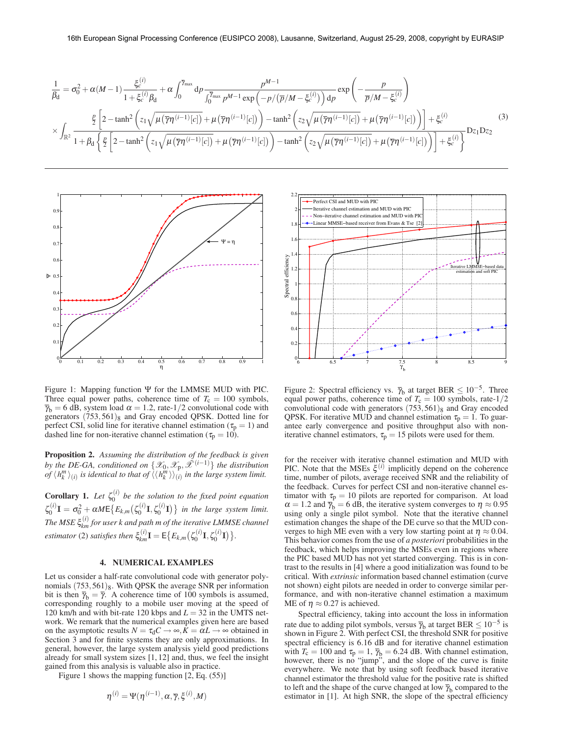$$
\frac{1}{\beta_{\rm d}} = \sigma_0^2 + \alpha(M-1) \frac{\xi_c^{(i)}}{1 + \xi_c^{(i)} \beta_{\rm d}} + \alpha \int_0^{\overline{\gamma}_{\rm max}} d\rho \frac{p^{M-1}}{\int_0^{\overline{\gamma}_{\rm max}} p^{M-1} \exp\left(-p/(\overline{p}/M - \xi_c^{(i)})\right) d\rho} \exp\left(-\frac{p}{\overline{p}/M - \xi_c^{(i)}}\right)
$$
\n
$$
\times \int_{\mathbb{R}^2} \frac{\frac{p}{2} \left[2 - \tanh^2\left(z_1 \sqrt{\mu(\overline{\gamma}\eta^{(i-1)}[c])} + \mu(\overline{\gamma}\eta^{(i-1)}[c])\right) - \tanh^2\left(z_2 \sqrt{\mu(\overline{\gamma}\eta^{(i-1)}[c])} + \mu(\overline{\gamma}\eta^{(i-1)}[c])\right)\right] + \xi_c^{(i)} \exp\left(-\frac{p}{2} \left[2 - \tanh^2\left(z_1 \sqrt{\mu(\overline{\gamma}\eta^{(i-1)}[c])} + \mu(\overline{\gamma}\eta^{(i-1)}[c])\right) - \tanh^2\left(z_2 \sqrt{\mu(\overline{\gamma}\eta^{(i-1)}[c])} + \mu(\overline{\gamma}\eta^{(i-1)}[c])\right)\right)\right] + \xi_c^{(i)} \exp\left(-\frac{p}{2} \left[2 - \tanh^2\left(z_1 \sqrt{\mu(\overline{\gamma}\eta^{(i-1)}[c])} + \mu(\overline{\gamma}\eta^{(i-1)}[c])\right) - \tanh^2\left(z_2 \sqrt{\mu(\overline{\gamma}\eta^{(i-1)}[c])} + \mu(\overline{\gamma}\eta^{(i-1)}[c])\right)\right)\right] + \xi_c^{(i)} \right]
$$
\n(3)



Figure 1: Mapping function  $\Psi$  for the LMMSE MUD with PIC. Three equal power paths, coherence time of  $T_c = 100$  symbols,  $\overline{\gamma}_b = 6$  dB, system load  $\alpha = 1.2$ , rate-1/2 convolutional code with generators  $(753,561)$ <sub>8</sub> and Gray encoded QPSK. Dotted line for perfect CSI, solid line for iterative channel estimation ( $\tau_p = 1$ ) and dashed line for non-iterative channel estimation ( $\tau_p = 10$ ).

Proposition 2. *Assuming the distribution of the feedback is given by the DE-GA, conditioned on*  $\{\mathscr{X}_0, \mathscr{X}_p, \mathscr{X}^{(i-1)}\}$  *the distribution of*  $\langle h_k^m \rangle_{(i)}$  is identical to that of  $\langle \langle h_k^m \rangle \rangle_{(i)}^{\langle i \rangle}$  in the large system limit.

**Corollary 1.** Let  $\zeta_0^{(i)}$  be the solution to the fixed point equation  $\zeta_0^{(i)}\mathbf{I} = \sigma_0^2 + \alpha M \mathsf{E}\big\{E_{k,m}\big(\zeta_0^{(i)}\mathbf{I},\zeta_0^{(i)}\mathbf{I}\big)\big\}$  in the large system limit. The MSE  $\xi_{km}^{(i)}$  for user k and path m of the iterative LMMSE channel *estimator* (2) *satisfies then*  $\xi_{km}^{(i)}I = E\{E_{k,m}(\zeta_0^{(i)}I, \zeta_0^{(i)}I)\}.$ 

### 4. NUMERICAL EXAMPLES

Let us consider a half-rate convolutional code with generator polynomials  $(753,561)_8$ . With QPSK the average SNR per information bit is then  $\bar{\gamma}_{\rm b} = \bar{\gamma}$ . A coherence time of 100 symbols is assumed, corresponding roughly to a mobile user moving at the speed of 120 km/h and with bit-rate 120 kbps and  $L = 32$  in the UMTS network. We remark that the numerical examples given here are based on the asymptotic results  $N = \tau_d C \rightarrow \infty$ ,  $\overline{K} = \alpha L \rightarrow \infty$  obtained in Section 3 and for finite systems they are only approximations. In general, however, the large system analysis yield good predictions already for small system sizes [1, 12] and, thus, we feel the insight gained from this analysis is valuable also in practice.

Figure 1 shows the mapping function [2, Eq. (55)]

$$
\boldsymbol{\eta}^{(i)} = \boldsymbol{\Psi}(\boldsymbol{\eta}^{(i-1)}, \boldsymbol{\alpha}, \overline{\boldsymbol{\gamma}}, \boldsymbol{\xi}^{(i)}, M)
$$



Figure 2: Spectral efficiency vs.  $\bar{\gamma}_b$  at target BER  $\leq 10^{-5}$ . Three equal power paths, coherence time of  $T_c = 100$  symbols, rate-1/2 convolutional code with generators  $(753,561)_{8}$  and Gray encoded QPSK. For iterative MUD and channel estimation  $\tau_p = 1$ . To guarantee early convergence and positive throughput also with noniterative channel estimators,  $\tau_p = 15$  pilots were used for them.

for the receiver with iterative channel estimation and MUD with PIC. Note that the MSEs  $\xi^{(i)}$  implicitly depend on the coherence time, number of pilots, average received SNR and the reliability of the feedback. Curves for perfect CSI and non-iterative channel estimator with  $\tau_p = 10$  pilots are reported for comparison. At load  $\alpha = 1.2$  and  $\bar{\gamma}_b = 6$  dB, the iterative system converges to  $\eta \approx 0.95$ using only a single pilot symbol. Note that the iterative channel estimation changes the shape of the DE curve so that the MUD converges to high ME even with a very low starting point at  $\eta \approx 0.04$ . This behavior comes from the use of *a posteriori* probabilities in the feedback, which helps improving the MSEs even in regions where the PIC based MUD has not yet started converging. This is in contrast to the results in [4] where a good initialization was found to be critical. With *extrinsic* information based channel estimation (curve not shown) eight pilots are needed in order to converge similar performance, and with non-iterative channel estimation a maximum ME of  $\eta \approx 0.27$  is achieved.

Spectral efficiency, taking into account the loss in information rate due to adding pilot symbols, versus  $\overline{\gamma}_{b}$  at target BER  $\leq 10^{-5}$  is shown in Figure 2. With perfect CSI, the threshold SNR for positive spectral efficiency is 6.16 dB and for iterative channel estimation with  $T_c = 100$  and  $\tau_p = 1$ ,  $\overline{\gamma}_b = 6.24$  dB. With channel estimation, however, there is no "jump", and the slope of the curve is finite everywhere. We note that by using soft feedback based iterative channel estimator the threshold value for the positive rate is shifted to left and the shape of the curve changed at low  $\bar{\gamma}_b$  compared to the estimator in [1]. At high SNR, the slope of the spectral efficiency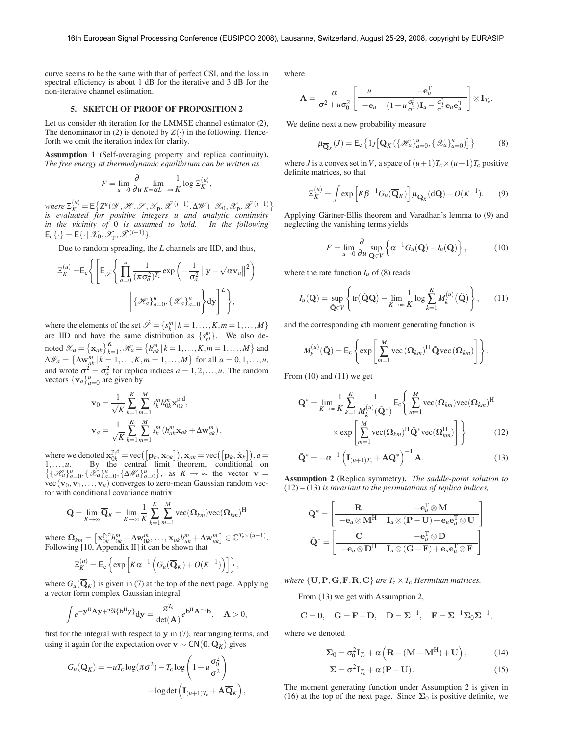curve seems to be the same with that of perfect CSI, and the loss in spectral efficiency is about 1 dB for the iterative and 3 dB for the non-iterative channel estimation.

### 5. SKETCH OF PROOF OF PROPOSITION 2

Let us consider *i*th iteration for the LMMSE channel estimator (2), The denominator in (2) is denoted by  $Z(\cdot)$  in the following. Henceforth we omit the iteration index for clarity.

Assumption 1 (Self-averaging property and replica continuity). *The free energy at thermodynamic equilibrium can be written as*

$$
F = \lim_{u \to 0} \frac{\partial}{\partial u} \lim_{K = \alpha L \to \infty} \frac{1}{K} \log \Xi_K^{(u)},
$$

 $where \ \mathbb{E}_{K}^{(u)} = \mathbb{E} \left\{ Z^{u}(\mathscr{Y}, \mathscr{H}, \mathscr{S}, \mathscr{X}_{p}, \mathscr{X}^{(i-1)}, \Delta \mathscr{W}) \mid \mathscr{X}_{0}, \mathscr{X}_{p}, \mathscr{X}^{(i-1)} \right\}$ *is evaluated for positive integers u and analytic continuity in the vicinity of* 0 *is assumed to hold. In the following*  $\mathsf{E}_{\mathsf{c}}\{\cdot\}=\mathsf{E}\{\cdot\,|\,\mathscr{X}_{\mathsf{0}},\mathscr{X}_{\mathsf{p}},\tilde{\mathscr{X}}^{(i-1)}\}.$ 

Due to random spreading, the *L* channels are IID, and thus,

$$
\Xi_K^{(u)} = \mathsf{E}_{\mathsf{c}} \Biggl\{ \Biggl[ \mathsf{E}_{\mathscr{S}} \Biggl\{ \prod_{a=0}^u \frac{1}{(\pi \sigma_a^2)^{T_{\mathsf{c}}}} \exp \biggl( -\frac{1}{\sigma_a^2} \left\| \mathbf{y} - \sqrt{\alpha} \mathbf{v}_a \right\|^2 \biggr) \Biggr. \Biggr. \Biggl\| \{\mathcal{H}_a\}_{a=0}^u, \{\mathcal{X}_a\}_{a=0}^u \Biggr\} \mathrm{d}\mathbf{y} \Biggr]^L \Biggr\},
$$

where the elements of the set  $\tilde{\mathcal{S}} = \{s_k^m | k = 1, ..., K, m = 1, ..., M\}$ are IID and have the same distribution as  $\{s_{kl}^m\}$ . We also denoted  $\mathcal{X}_a = {\mathbf{x}_{ak}}_{k=1}^K$ ,  $\mathcal{H}_a = {h_{ak}^m | k = 1, ..., K, m = 1, ..., M}$  and  $\Delta \mathcal{W}_a = \{ \Delta \mathbf{w}_{ak}^m | k = 1, ..., K, m = 1, ..., M \}$  for all  $a = 0, 1, ..., u$ , and wrote  $\sigma^2 = \sigma_a^2$  for replica indices  $a = 1, 2, ..., u$ . The random vectors  $\{v_a\}_{a=0}^u$  are given by

$$
\mathbf{v}_0 = \frac{1}{\sqrt{K}} \sum_{k=1}^K \sum_{m=1}^M s_k^m h_{0k}^m \mathbf{x}_{0k}^{p,d},
$$
  

$$
\mathbf{v}_a = \frac{1}{\sqrt{K}} \sum_{k=1}^K \sum_{m=1}^M s_k^m (h_{ak}^m \mathbf{x}_{ak} + \Delta \mathbf{w}_{ak}^m),
$$

where we denoted  $\mathbf{x}_{0k}^{p,d} = \text{vec}([\mathbf{p}_k, \mathbf{x}_{0k}]), \mathbf{x}_{ak} = \text{vec}([\mathbf{p}_k, \tilde{\mathbf{x}}_k]), a =$ 1,...,*u*. By the central limit theorem, conditional on  $\{\{\mathcal{H}_a\}_{a=0}^u, \{\mathcal{X}_a\}_{a=0}^u, \{\Delta \mathcal{W}_a\}_{a=0}^u\}$ , as  $K \to \infty$  the vector  $\mathbf{v} =$  $vec(\mathbf{v}_0,\mathbf{v}_1,\ldots,\mathbf{v}_u)$  converges to zero-mean Gaussian random vector with conditional covariance matrix

$$
\mathbf{Q} = \lim_{K \to \infty} \overline{\mathbf{Q}}_K = \lim_{K \to \infty} \frac{1}{K} \sum_{k=1}^{K} \sum_{m=1}^{M} \text{vec}(\mathbf{\Omega}_{km}) \text{vec}(\mathbf{\Omega}_{km})^{\text{H}}
$$

where  $\Omega_{km} = \left[\mathbf{x}_{0k}^{p,d} h_{0k}^m + \Delta \mathbf{w}_{0k}^m, \dots, \mathbf{x}_{uk} h_{uk}^m + \Delta \mathbf{w}_{uk}^m\right] \in \mathbb{C}^{T_c \times (u+1)}$ . Following [10, Appendix II] it can be shown that

$$
\Xi_K^{(u)} = \mathsf{E}_{\mathsf{c}} \left\{ \exp \left[ K \alpha^{-1} \left( G_u(\overline{\mathbf{Q}}_K) + O(K^{-1}) \right) \right] \right\},\,
$$

where  $G_u(\overline{\mathbf{Q}}_K)$  is given in (7) at the top of the next page. Applying a vector form complex Gaussian integral

$$
\int e^{-\mathbf{y}^{\mathrm{H}}\mathbf{A}\mathbf{y}+2\Re{\{\mathbf{b}^{\mathrm{H}}\mathbf{y}\}}}\mathrm{d}\mathbf{y}=\frac{\pi^{T_{\mathrm{c}}}}{\det(\mathbf{A})}e^{\mathbf{b}^{\mathrm{H}}\mathbf{A}^{-1}\mathbf{b}},\quad \mathbf{A}>0,
$$

first for the integral with respect to  $y$  in  $(7)$ , rearranging terms, and using it again for the expectation over  $\mathbf{v} \sim \mathsf{CN}(\mathbf{0},\overline{\mathbf{Q}}_K)$  gives

$$
G_u(\overline{\mathbf{Q}}_K) = -uT_c \log(\pi \sigma^2) - T_c \log \left(1 + u \frac{\sigma_0^2}{\sigma^2}\right)
$$

$$
- \log \det \left(\mathbf{I}_{(u+1)T_c} + \mathbf{A} \overline{\mathbf{Q}}_K\right),
$$

where

$$
\mathbf{A} = \frac{\alpha}{\sigma^2 + u\sigma_0^2} \left[ \begin{array}{c|c} u & -\mathbf{e}_u^{\mathrm{T}} & \mathbf{e}_u \\ \hline -\mathbf{e}_u & (1 + u\frac{\sigma_0^2}{\sigma^2})\mathbf{I}_u - \frac{\sigma_0^2}{\sigma^2}\mathbf{e}_u\mathbf{e}_u^{\mathrm{T}} \end{array} \right] \otimes \mathbf{I}_{T_c}.
$$

We define next a new probability measure

$$
\mu_{\overline{\mathbf{Q}}_K}(J) = \mathsf{E}_{\mathsf{c}} \left\{ 1_J \left[ \overline{\mathbf{Q}}_K \left( \{ \mathcal{H}_a \}_{a=0}^u, \{ \mathcal{X}_a \}_{a=0}^u \right) \right] \right\} \tag{8}
$$

where *J* is a convex set in *V*, a space of  $(u+1)T_c \times (u+1)T_c$  positive definite matrices, so that

$$
\Xi_K^{(u)} = \int \exp\left[K\beta^{-1}G_u(\overline{\mathbf{Q}}_K)\right] \mu_{\overline{\mathbf{Q}}_K}(\mathrm{d}\mathbf{Q}) + O(K^{-1}).\tag{9}
$$

Applying Gärtner-Ellis theorem and Varadhan's lemma to (9) and neglecting the vanishing terms yields

$$
F = \lim_{u \to 0} \frac{\partial}{\partial u} \sup_{\mathbf{Q} \in V} \left\{ \alpha^{-1} G_u(\mathbf{Q}) - I_u(\mathbf{Q}) \right\},\tag{10}
$$

where the rate function  $I_u$  of (8) reads

$$
I_u(\mathbf{Q}) = \sup_{\tilde{\mathbf{Q}} \in V} \left\{ \text{tr}(\tilde{\mathbf{Q}}\mathbf{Q}) - \lim_{K \to \infty} \frac{1}{K} \log \sum_{k=1}^K M_k^{(u)}(\tilde{\mathbf{Q}}) \right\},\qquad(11)
$$

and the corresponding *k*th moment generating function is

$$
M_k^{(u)}(\tilde{\mathbf{Q}}) = \mathsf{E}_{\mathrm{c}} \left\{ \exp \left[ \sum_{m=1}^M \mathrm{vec} \left( \mathbf{\Omega}_{km} \right)^{\mathrm{H}} \tilde{\mathbf{Q}} \mathrm{vec} \left( \mathbf{\Omega}_{km} \right) \right] \right\}.
$$

From  $(10)$  and  $(11)$  we get

$$
\mathbf{Q}^* = \lim_{K \to \infty} \frac{1}{K} \sum_{k=1}^K \frac{1}{M_k^{(u)}(\tilde{\mathbf{Q}}^*)} \mathsf{E}_c \Bigg\{ \sum_{m=1}^M \text{vec}(\mathbf{\Omega}_{km}) \text{vec}(\mathbf{\Omega}_{km})^H
$$

$$
\times \exp \Bigg[ \sum_{m=1}^M \text{vec}(\mathbf{\Omega}_{km})^H \tilde{\mathbf{Q}}^* \text{vec}(\mathbf{\Omega}_{km}^H) \Bigg] \Bigg\} \tag{12}
$$

$$
\tilde{\mathbf{Q}}^* = -\alpha^{-1} \left( \mathbf{I}_{(u+1)T_c} + \mathbf{A} \mathbf{Q}^* \right)^{-1} \mathbf{A}.
$$
 (13)

Assumption 2 (Replica symmetry). *The saddle-point solution to* (12) *–* (13) *is invariant to the permutations of replica indices,*

$$
\mathbf{Q}^* = \left[ \begin{array}{c|c} \mathbf{R} & -\mathbf{e}_u^{\mathrm{T}} \otimes \mathbf{M} \\ \hline -\mathbf{e}_u \otimes \mathbf{M}^{\mathrm{H}} & \mathbf{I}_u \otimes (\mathbf{P}-\mathbf{U}) + \mathbf{e}_u \mathbf{e}_u^{\mathrm{T}} \otimes \mathbf{U} \\ \hline \\ \tilde{\mathbf{Q}}^* = \left[ \begin{array}{c|c} \mathbf{C} & -\mathbf{e}_u^{\mathrm{T}} \otimes \mathbf{D} \\ \hline -\mathbf{e}_u \otimes \mathbf{D}^{\mathrm{H}} & \mathbf{I}_u \otimes (\mathbf{G}-\mathbf{F}) + \mathbf{e}_u \mathbf{e}_u^{\mathrm{T}} \otimes \mathbf{F} \end{array} \right] \end{array}
$$

*where*  $\{U, P, G, F, R, C\}$  *are*  $T_c \times T_c$  *Hermitian matrices.* 

From (13) we get with Assumption 2,

$$
\mathbf{C} = \mathbf{0}, \quad \mathbf{G} = \mathbf{F} - \mathbf{D}, \quad \mathbf{D} = \boldsymbol{\Sigma}^{-1}, \quad \mathbf{F} = \boldsymbol{\Sigma}^{-1} \boldsymbol{\Sigma}_0 \boldsymbol{\Sigma}^{-1},
$$

where we denoted

$$
\Sigma_0 = \sigma_0^2 \mathbf{I}_{T_c} + \alpha \left( \mathbf{R} - (\mathbf{M} + \mathbf{M}^{\mathrm{H}}) + \mathbf{U} \right), \tag{14}
$$

$$
\Sigma = \sigma^2 \mathbf{I}_{T_c} + \alpha \left( \mathbf{P} - \mathbf{U} \right). \tag{15}
$$

The moment generating function under Assumption 2 is given in (16) at the top of the next page. Since  $\Sigma_0$  is positive definite, we